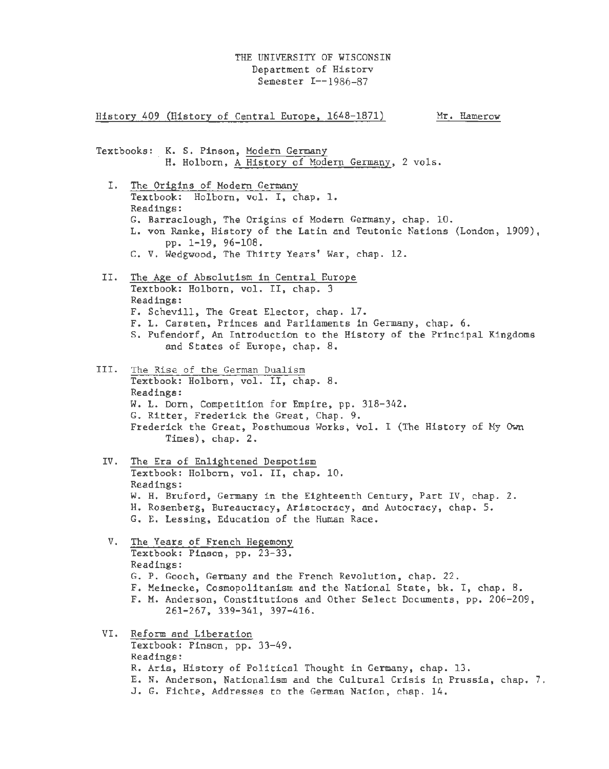History 409 (History of Central Europe, 1648-1871) Textbooks: K. S. Pinson, Modern Germany Mr. Hamerow H. Holborn, A History of Modern Germany, 2 vols. I. The Origins of Modern Germany Textbook: Holborn, vol. I, chap. 1. Readings: G. Barraclough, The Origins of Modern Germany, chap. 10. L. von Ranke, History of the Latin and Teutonic Nations (London, 1909), pp. 1-19, 96-108. C. V. Wedgwood, The Thirty Years' War, chap. 12. II. The Age of Absolutism in Central Europe Textbook: Holborn, vol. II, chap. 3 Readings: F. Schevill, The Great Elector, chap. 17. F. L. Carsten, Princes and Parliaments in Germany, chap. 6. s. Pufendorf, An Introduction to the History of the Principal Kingdoms and States of Europe, chap. 8. III. The Rise of the German Dualism Textbook: Holborn, vol. II, chap. 8. Readings: W. L. Dorn, Competition for Empire, pp. 318-342. G. Ritter, Frederick the Great, Chap. 9. Frederick the Great, Posthumous Works, vol. I (The History of Hy Own Times), chap. 2. IV. The Era of Enlightened Despotism Textbook: Holborn, vol. II, chap. 10. Readings: W. H. Bruford, Germany in the Eighteenth Century, Part IV, chap. 2. H. Rosenberg, Bureaucracy, Aristocracy, and Autocracy, chap. 5. G. E. Lessing, Education of the Human Race. V. The Years of French Hegemony Textbook: Pinson, pp. 23-33. Readings: G. P. Gooch, Germany and the French Revolution, chap. 22. F. Meinecke, Cosmopolitanism and the National State, bk. I, chap. 8. F. M. Anderson, Constitutions and Other Select Documents, pp. 206-209, 261-267, 339-341, 397-416. VI. Reform and Liberation Textbook: Pinson, pp. 33-49. Readings: R. Aris, History of Political Thought in Germany, chap. 13. E. N. Anderson, Nationalism and the Cultural Crisis in Prussia, chap. 7. J. G. Fichte, Addresses to the German Nation, chap. 14.